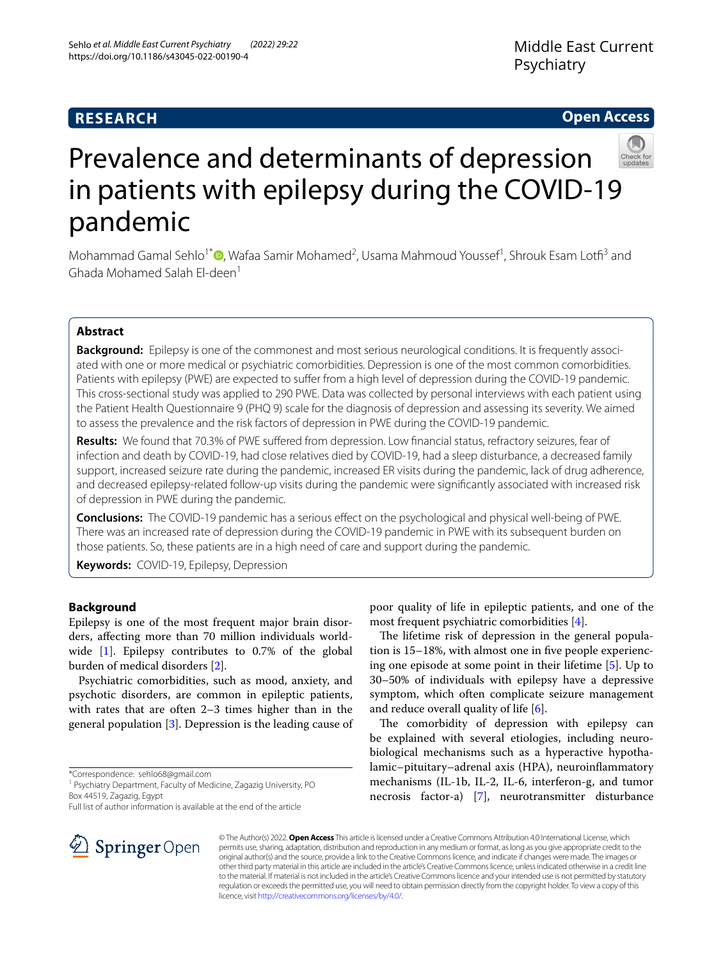# **RESEARCH**

# **Open Access**



# Prevalence and determinants of depression in patients with epilepsy during the COVID-19 pandemic

Mohammad Gamal Sehlo<sup>1\*</sup><sup>®</sup>[,](https://orcid.org/0000-0003-1479-4094) Wafaa Samir Mohamed<sup>2</sup>, Usama Mahmoud Youssef<sup>1</sup>, Shrouk Esam Lotfi<sup>3</sup> and Ghada Mohamed Salah El-deen<sup>1</sup>

## **Abstract**

**Background:** Epilepsy is one of the commonest and most serious neurological conditions. It is frequently associated with one or more medical or psychiatric comorbidities. Depression is one of the most common comorbidities. Patients with epilepsy (PWE) are expected to suffer from a high level of depression during the COVID-19 pandemic. This cross-sectional study was applied to 290 PWE. Data was collected by personal interviews with each patient using the Patient Health Questionnaire 9 (PHQ 9) scale for the diagnosis of depression and assessing its severity. We aimed to assess the prevalence and the risk factors of depression in PWE during the COVID-19 pandemic.

**Results:** We found that 70.3% of PWE sufered from depression. Low fnancial status, refractory seizures, fear of infection and death by COVID-19, had close relatives died by COVID-19, had a sleep disturbance, a decreased family support, increased seizure rate during the pandemic, increased ER visits during the pandemic, lack of drug adherence, and decreased epilepsy-related follow-up visits during the pandemic were signifcantly associated with increased risk of depression in PWE during the pandemic.

**Conclusions:** The COVID-19 pandemic has a serious efect on the psychological and physical well-being of PWE. There was an increased rate of depression during the COVID-19 pandemic in PWE with its subsequent burden on those patients. So, these patients are in a high need of care and support during the pandemic.

**Keywords:** COVID-19, Epilepsy, Depression

## **Background**

Epilepsy is one of the most frequent major brain disorders, afecting more than 70 million individuals worldwide [\[1](#page-6-0)]. Epilepsy contributes to 0.7% of the global burden of medical disorders [[2\]](#page-6-1).

Psychiatric comorbidities, such as mood, anxiety, and psychotic disorders, are common in epileptic patients, with rates that are often 2–3 times higher than in the general population [\[3](#page-6-2)]. Depression is the leading cause of

\*Correspondence: sehlo68@gmail.com

Full list of author information is available at the end of the article

poor quality of life in epileptic patients, and one of the most frequent psychiatric comorbidities [[4\]](#page-6-3).

The lifetime risk of depression in the general population is 15–18%, with almost one in five people experiencing one episode at some point in their lifetime [[5\]](#page-7-0). Up to 30–50% of individuals with epilepsy have a depressive symptom, which often complicate seizure management and reduce overall quality of life  $[6]$  $[6]$ .

The comorbidity of depression with epilepsy can be explained with several etiologies, including neurobiological mechanisms such as a hyperactive hypothalamic–pituitary–adrenal axis (HPA), neuroinfammatory mechanisms (IL-1b, IL-2, IL-6, interferon-g, and tumor necrosis factor-a) [\[7](#page-7-2)], neurotransmitter disturbance



© The Author(s) 2022. **Open Access** This article is licensed under a Creative Commons Attribution 4.0 International License, which permits use, sharing, adaptation, distribution and reproduction in any medium or format, as long as you give appropriate credit to the original author(s) and the source, provide a link to the Creative Commons licence, and indicate if changes were made. The images or other third party material in this article are included in the article's Creative Commons licence, unless indicated otherwise in a credit line to the material. If material is not included in the article's Creative Commons licence and your intended use is not permitted by statutory regulation or exceeds the permitted use, you will need to obtain permission directly from the copyright holder. To view a copy of this licence, visit [http://creativecommons.org/licenses/by/4.0/.](http://creativecommons.org/licenses/by/4.0/)

<sup>&</sup>lt;sup>1</sup> Psychiatry Department, Faculty of Medicine, Zagazig University, PO Box 44519, Zagazig, Egypt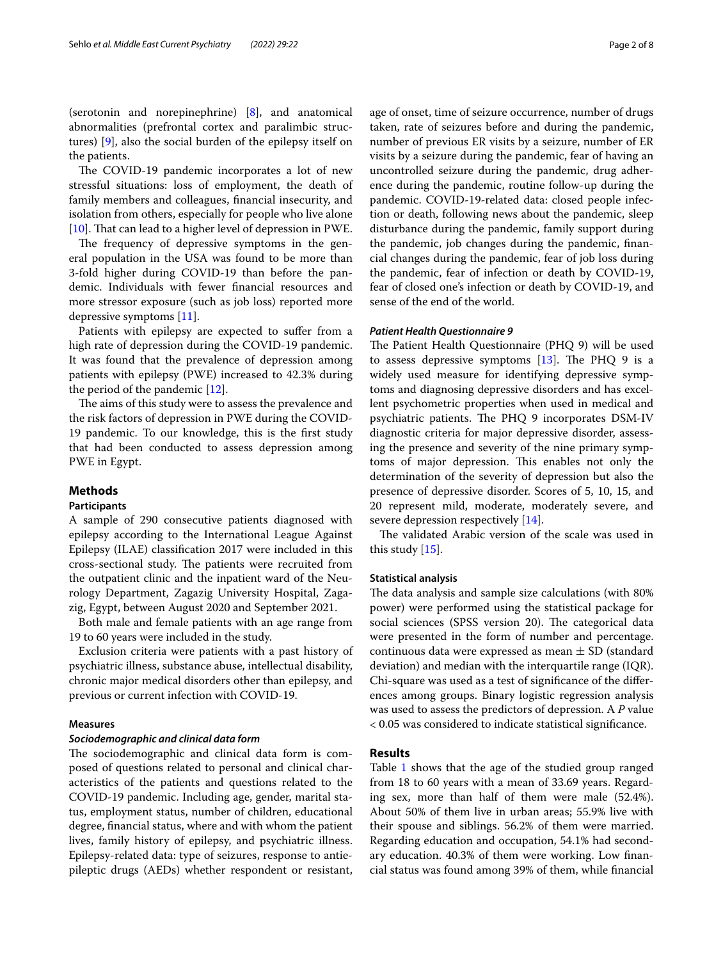(serotonin and norepinephrine) [[8\]](#page-7-3), and anatomical abnormalities (prefrontal cortex and paralimbic structures) [[9\]](#page-7-4), also the social burden of the epilepsy itself on the patients.

The COVID-19 pandemic incorporates a lot of new stressful situations: loss of employment, the death of family members and colleagues, fnancial insecurity, and isolation from others, especially for people who live alone [[10\]](#page-7-5). That can lead to a higher level of depression in PWE.

The frequency of depressive symptoms in the general population in the USA was found to be more than 3-fold higher during COVID-19 than before the pandemic. Individuals with fewer fnancial resources and more stressor exposure (such as job loss) reported more depressive symptoms [\[11](#page-7-6)].

Patients with epilepsy are expected to sufer from a high rate of depression during the COVID-19 pandemic. It was found that the prevalence of depression among patients with epilepsy (PWE) increased to 42.3% during the period of the pandemic [[12\]](#page-7-7).

The aims of this study were to assess the prevalence and the risk factors of depression in PWE during the COVID-19 pandemic. To our knowledge, this is the frst study that had been conducted to assess depression among PWE in Egypt.

## **Methods**

## **Participants**

A sample of 290 consecutive patients diagnosed with epilepsy according to the International League Against Epilepsy (ILAE) classifcation 2017 were included in this cross-sectional study. The patients were recruited from the outpatient clinic and the inpatient ward of the Neurology Department, Zagazig University Hospital, Zagazig, Egypt, between August 2020 and September 2021.

Both male and female patients with an age range from 19 to 60 years were included in the study.

Exclusion criteria were patients with a past history of psychiatric illness, substance abuse, intellectual disability, chronic major medical disorders other than epilepsy, and previous or current infection with COVID-19.

## **Measures**

#### *Sociodemographic and clinical data form*

The sociodemographic and clinical data form is composed of questions related to personal and clinical characteristics of the patients and questions related to the COVID-19 pandemic. Including age, gender, marital status, employment status, number of children, educational degree, fnancial status, where and with whom the patient lives, family history of epilepsy, and psychiatric illness. Epilepsy-related data: type of seizures, response to antiepileptic drugs (AEDs) whether respondent or resistant, age of onset, time of seizure occurrence, number of drugs taken, rate of seizures before and during the pandemic, number of previous ER visits by a seizure, number of ER visits by a seizure during the pandemic, fear of having an uncontrolled seizure during the pandemic, drug adherence during the pandemic, routine follow-up during the pandemic. COVID-19-related data: closed people infection or death, following news about the pandemic, sleep disturbance during the pandemic, family support during the pandemic, job changes during the pandemic, fnancial changes during the pandemic, fear of job loss during the pandemic, fear of infection or death by COVID-19, fear of closed one's infection or death by COVID-19, and sense of the end of the world.

## *Patient Health Questionnaire 9*

The Patient Health Questionnaire (PHQ 9) will be used to assess depressive symptoms  $[13]$  $[13]$ . The PHQ 9 is a widely used measure for identifying depressive symptoms and diagnosing depressive disorders and has excellent psychometric properties when used in medical and psychiatric patients. The PHQ 9 incorporates DSM-IV diagnostic criteria for major depressive disorder, assessing the presence and severity of the nine primary symptoms of major depression. This enables not only the determination of the severity of depression but also the presence of depressive disorder. Scores of 5, 10, 15, and 20 represent mild, moderate, moderately severe, and severe depression respectively [[14\]](#page-7-9).

The validated Arabic version of the scale was used in this study [[15\]](#page-7-10).

#### **Statistical analysis**

The data analysis and sample size calculations (with 80% power) were performed using the statistical package for social sciences (SPSS version 20). The categorical data were presented in the form of number and percentage. continuous data were expressed as mean  $\pm$  SD (standard deviation) and median with the interquartile range (IQR). Chi-square was used as a test of signifcance of the diferences among groups. Binary logistic regression analysis was used to assess the predictors of depression. A *P* value < 0.05 was considered to indicate statistical signifcance.

## **Results**

Table [1](#page-2-0) shows that the age of the studied group ranged from 18 to 60 years with a mean of 33.69 years. Regarding sex, more than half of them were male (52.4%). About 50% of them live in urban areas; 55.9% live with their spouse and siblings. 56.2% of them were married. Regarding education and occupation, 54.1% had secondary education. 40.3% of them were working. Low fnancial status was found among 39% of them, while fnancial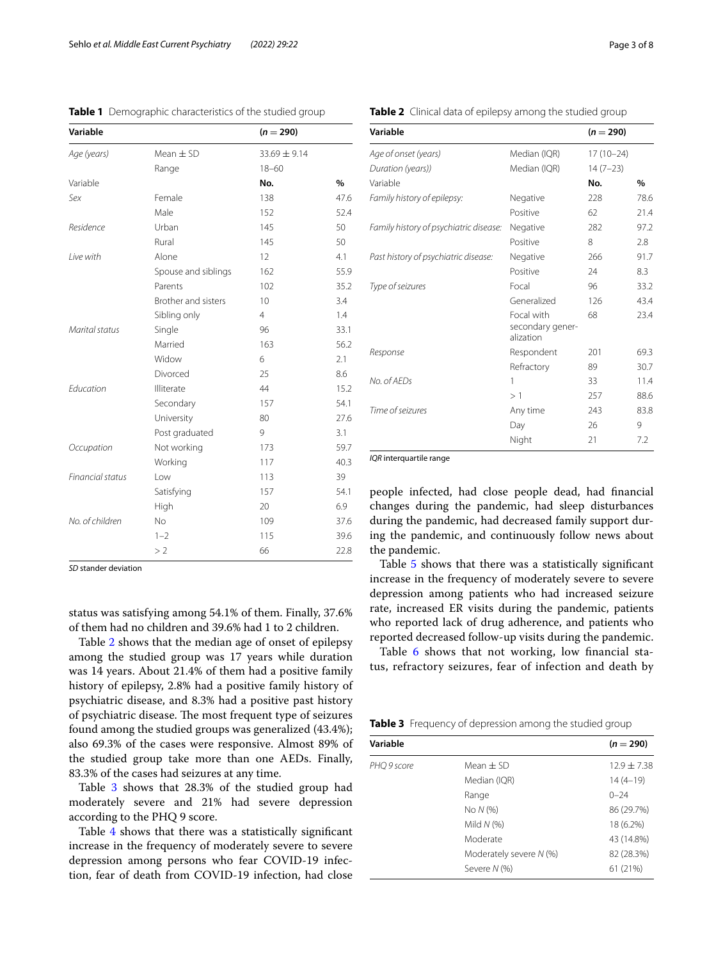| Variable         |                     | $(n = 290)$      |               |
|------------------|---------------------|------------------|---------------|
| Age (years)      | Mean $\pm$ SD       | $33.69 \pm 9.14$ |               |
|                  | Range               | $18 - 60$        |               |
| Variable         |                     | No.              | $\frac{0}{0}$ |
| Sex              | Female              | 138              | 47.6          |
|                  | Male                | 152              | 52.4          |
| Residence        | Urban               | 145              | 50            |
|                  | Rural               | 145              | 50            |
| I ive with       | Alone               | 12               | 4.1           |
|                  | Spouse and siblings | 162              | 55.9          |
|                  | Parents             | 102              | 35.2          |
|                  | Brother and sisters | 10               | 3.4           |
|                  | Sibling only        | $\overline{4}$   | 1.4           |
| Marital status   | Single              | 96               | 33.1          |
|                  | Married             | 163              | 56.2          |
|                  | Widow               | 6                | 2.1           |
|                  | Divorced            | 25               | 8.6           |
| Education        | Illiterate          | 44               | 15.2          |
|                  | Secondary           | 157              | 54.1          |
|                  | University          | 80               | 27.6          |
|                  | Post graduated      | 9                | 3.1           |
| Occupation       | Not working         | 173              | 59.7          |
|                  | Working             | 117              | 40.3          |
| Financial status | Low                 | 113              | 39            |
|                  | Satisfying          | 157              | 54.1          |
|                  | High                | 20               | 6.9           |
| No. of children  | <b>No</b>           | 109              | 37.6          |
|                  | $1 - 2$             | 115              | 39.6          |
|                  | >2                  | 66               | 22.8          |

<span id="page-2-0"></span>**Table 1** Demographic characteristics of the studied group

*SD* stander deviation

status was satisfying among 54.1% of them. Finally, 37.6% of them had no children and 39.6% had 1 to 2 children.

Table [2](#page-2-1) shows that the median age of onset of epilepsy among the studied group was 17 years while duration was 14 years. About 21.4% of them had a positive family history of epilepsy, 2.8% had a positive family history of psychiatric disease, and 8.3% had a positive past history of psychiatric disease. The most frequent type of seizures found among the studied groups was generalized (43.4%); also 69.3% of the cases were responsive. Almost 89% of the studied group take more than one AEDs. Finally, 83.3% of the cases had seizures at any time.

Table [3](#page-2-2) shows that 28.3% of the studied group had moderately severe and 21% had severe depression according to the PHQ 9 score.

Table [4](#page-3-0) shows that there was a statistically significant increase in the frequency of moderately severe to severe depression among persons who fear COVID-19 infection, fear of death from COVID-19 infection, had close

<span id="page-2-1"></span>**Table 2** Clinical data of epilepsy among the studied group

| Variable                               |                                             | $(n = 290)$ |      |
|----------------------------------------|---------------------------------------------|-------------|------|
| Age of onset (years)                   | Median (IQR)                                | $17(10-24)$ |      |
| Duration (years))                      | Median (IQR)                                | $14(7-23)$  |      |
| Variable                               |                                             | No.         | $\%$ |
| Family history of epilepsy:            | Negative                                    | 228         | 78.6 |
|                                        | Positive                                    | 62          | 21.4 |
| Family history of psychiatric disease: | Negative                                    | 282         | 97.2 |
|                                        | Positive                                    | 8           | 2.8  |
| Past history of psychiatric disease:   | Negative                                    | 266         | 91.7 |
|                                        | Positive                                    | 24          | 8.3  |
| Type of seizures                       | Focal                                       | 96          | 33.2 |
|                                        | Generalized                                 | 126         | 43.4 |
|                                        | Focal with<br>secondary gener-<br>alization | 68          | 23.4 |
| Response                               | Respondent                                  | 201         | 69.3 |
|                                        | Refractory                                  | 89          | 30.7 |
| No. of AFDs                            | 1                                           | 33          | 11.4 |
|                                        | >1                                          | 257         | 88.6 |
| Time of seizures                       | Any time                                    | 243         | 83.8 |
|                                        | Day                                         | 26          | 9    |
|                                        | Night                                       | 21          | 7.2  |

*IOR* interquartile range

people infected, had close people dead, had fnancial changes during the pandemic, had sleep disturbances during the pandemic, had decreased family support during the pandemic, and continuously follow news about the pandemic.

Table [5](#page-3-1) shows that there was a statistically signifcant increase in the frequency of moderately severe to severe depression among patients who had increased seizure rate, increased ER visits during the pandemic, patients who reported lack of drug adherence, and patients who reported decreased follow-up visits during the pandemic.

Table [6](#page-4-0) shows that not working, low financial status, refractory seizures, fear of infection and death by

<span id="page-2-2"></span>**Table 3** Frequency of depression among the studied group

| Variable    |                         | $(n = 290)$     |
|-------------|-------------------------|-----------------|
| PHQ 9 score | Mean $\pm$ SD           | $12.9 \pm 7.38$ |
|             | Median (IQR)            | $14(4-19)$      |
|             | Range                   | $0 - 24$        |
|             | No N (%)                | 86 (29.7%)      |
|             | Mild $N$ (%)            | 18 (6.2%)       |
|             | Moderate                | 43 (14.8%)      |
|             | Moderately severe N (%) | 82 (28.3%)      |
|             | Severe N (%)            | 61 (21%)        |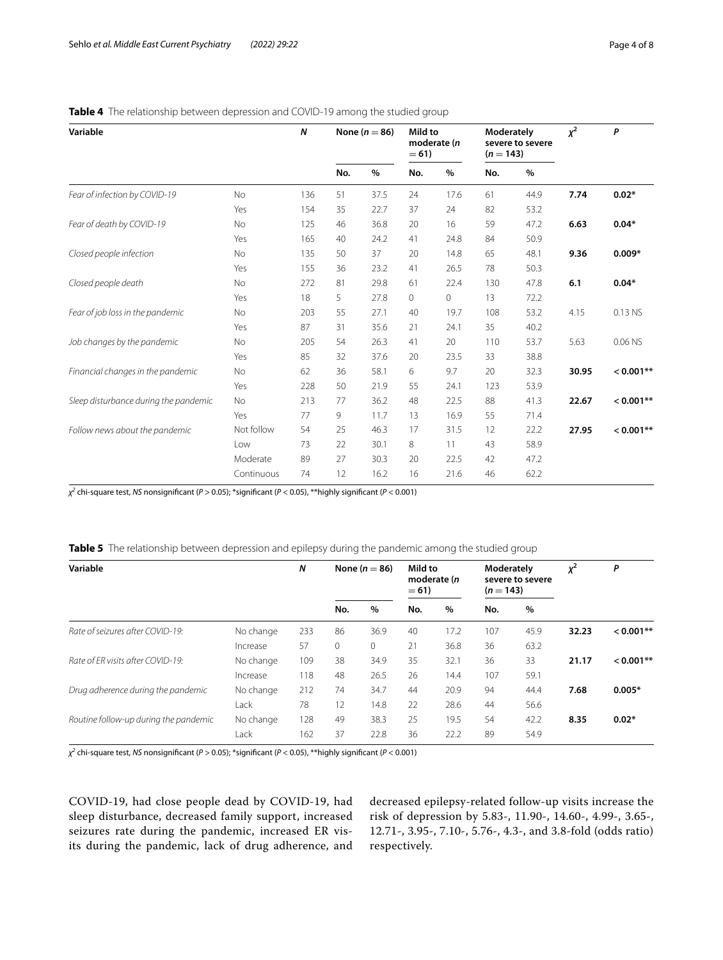| Variable                              |            | N   | None ( $n = 86$ ) |      | Mild to<br>moderate (n<br>$= 61$ |      | Moderately<br>severe to severe<br>$(n = 143)$ |      | $x^2$ | P           |
|---------------------------------------|------------|-----|-------------------|------|----------------------------------|------|-----------------------------------------------|------|-------|-------------|
|                                       |            |     | No.               | $\%$ | No.                              | $\%$ | No.                                           | $\%$ |       |             |
| Fear of infection by COVID-19         | No         | 136 | 51                | 37.5 | 24                               | 17.6 | 61                                            | 44.9 | 7.74  | $0.02*$     |
|                                       | Yes        | 154 | 35                | 22.7 | 37                               | 24   | 82                                            | 53.2 |       |             |
| Fear of death by COVID-19             | No         | 125 | 46                | 36.8 | 20                               | 16   | 59                                            | 47.2 | 6.63  | $0.04*$     |
|                                       | Yes        | 165 | 40                | 24.2 | 41                               | 24.8 | 84                                            | 50.9 |       |             |
| Closed people infection               | No         | 135 | 50                | 37   | 20                               | 14.8 | 65                                            | 48.1 | 9.36  | $0.009*$    |
|                                       | Yes        | 155 | 36                | 23.2 | 41                               | 26.5 | 78                                            | 50.3 |       |             |
| Closed people death                   | No         | 272 | 81                | 29.8 | 61                               | 22.4 | 130                                           | 47.8 | 6.1   | $0.04*$     |
|                                       | Yes        | 18  | 5                 | 27.8 | 0                                | 0    | 13                                            | 72.2 |       |             |
| Fear of job loss in the pandemic      | No         | 203 | 55                | 27.1 | 40                               | 19.7 | 108                                           | 53.2 | 4.15  | 0.13 NS     |
|                                       | Yes        | 87  | 31                | 35.6 | 21                               | 24.1 | 35                                            | 40.2 |       |             |
| Job changes by the pandemic           | No         | 205 | 54                | 26.3 | 41                               | 20   | 110                                           | 53.7 | 5.63  | 0.06 NS     |
|                                       | Yes        | 85  | 32                | 37.6 | 20                               | 23.5 | 33                                            | 38.8 |       |             |
| Financial changes in the pandemic     | No         | 62  | 36                | 58.1 | 6                                | 9.7  | 20                                            | 32.3 | 30.95 | $< 0.001**$ |
|                                       | Yes        | 228 | 50                | 21.9 | 55                               | 24.1 | 123                                           | 53.9 |       |             |
| Sleep disturbance during the pandemic | No         | 213 | 77                | 36.2 | 48                               | 22.5 | 88                                            | 41.3 | 22.67 | $< 0.001**$ |
|                                       | Yes        | 77  | 9                 | 11.7 | 13                               | 16.9 | 55                                            | 71.4 |       |             |
| Follow news about the pandemic        | Not follow | 54  | 25                | 46.3 | 17                               | 31.5 | 12                                            | 22.2 | 27.95 | $< 0.001**$ |
|                                       | Low        | 73  | 22                | 30.1 | 8                                | 11   | 43                                            | 58.9 |       |             |
|                                       | Moderate   | 89  | 27                | 30.3 | 20                               | 22.5 | 42                                            | 47.2 |       |             |
|                                       | Continuous | 74  | 12                | 16.2 | 16                               | 21.6 | 46                                            | 62.2 |       |             |

## <span id="page-3-0"></span>**Table 4** The relationship between depression and COVID-19 among the studied group

*χ2* chi-square test, *NS* nonsignifcant (*P* > 0.05); \*signifcant (*P* < 0.05), \*\*highly signifcant (*P* < 0.001)

<span id="page-3-1"></span>

| <b>Table 5</b> The relationship between depression and epilepsy during the pandemic among the studied group |  |
|-------------------------------------------------------------------------------------------------------------|--|
|-------------------------------------------------------------------------------------------------------------|--|

| Variable                              |           | N   | None ( $n = 86$ ) |          | Mild to<br>moderate (n<br>$= 61$ |      | Moderately<br>severe to severe<br>$(n = 143)$ |      | $x^2$ | P           |
|---------------------------------------|-----------|-----|-------------------|----------|----------------------------------|------|-----------------------------------------------|------|-------|-------------|
|                                       |           |     | No.               | $\%$     | No.                              | %    | No.                                           | $\%$ |       |             |
| Rate of seizures after COVID-19:      | No change | 233 | 86                | 36.9     | 40                               | 17.2 | 107                                           | 45.9 | 32.23 | $< 0.001**$ |
|                                       | Increase  | 57  | $\circ$           | $\Omega$ | 21                               | 36.8 | 36                                            | 63.2 |       |             |
| Rate of FR visits after COVID-19:     | No change | 109 | 38                | 34.9     | 35                               | 32.1 | 36                                            | 33   | 21.17 | $< 0.001**$ |
|                                       | Increase  | 118 | 48                | 26.5     | 26                               | 14.4 | 107                                           | 59.1 |       |             |
| Drug adherence during the pandemic    | No change | 212 | 74                | 34.7     | 44                               | 20.9 | 94                                            | 44.4 | 7.68  | $0.005*$    |
|                                       | Lack      | 78  | 12                | 14.8     | 22                               | 28.6 | 44                                            | 56.6 |       |             |
| Routine follow-up during the pandemic | No change | 128 | 49                | 38.3     | 25                               | 19.5 | 54                                            | 42.2 | 8.35  | $0.02*$     |
|                                       | Lack      | 162 | 37                | 22.8     | 36                               | 22.2 | 89                                            | 54.9 |       |             |

*χ2* chi-square test, *NS* nonsignifcant (*P* > 0.05); \*signifcant (*P* < 0.05), \*\*highly signifcant (*P* < 0.001)

COVID-19, had close people dead by COVID-19, had sleep disturbance, decreased family support, increased seizures rate during the pandemic, increased ER visits during the pandemic, lack of drug adherence, and decreased epilepsy-related follow-up visits increase the risk of depression by 5.83-, 11.90-, 14.60-, 4.99-, 3.65-, 12.71-, 3.95-, 7.10-, 5.76-, 4.3-, and 3.8-fold (odds ratio) respectively.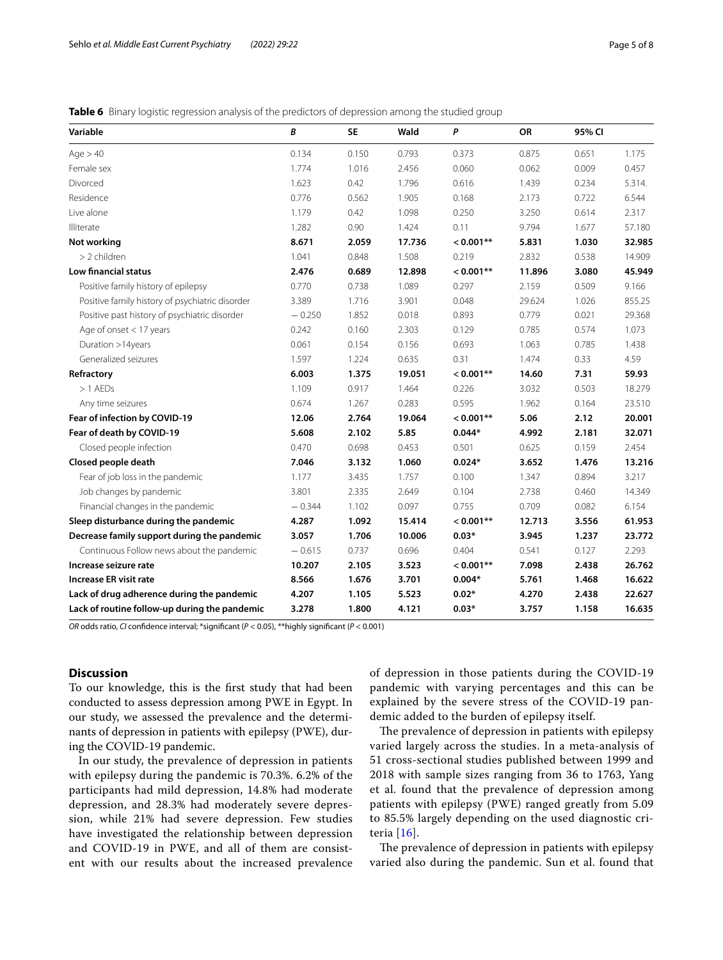<span id="page-4-0"></span>**Table 6** Binary logistic regression analysis of the predictors of depression among the studied group

| Variable                                        | B        | <b>SE</b> | Wald   | P           | OR     | 95% CI |        |
|-------------------------------------------------|----------|-----------|--------|-------------|--------|--------|--------|
| Age > 40                                        | 0.134    | 0.150     | 0.793  | 0.373       | 0.875  | 0.651  | 1.175  |
| Female sex                                      | 1.774    | 1.016     | 2.456  | 0.060       | 0.062  | 0.009  | 0.457  |
| Divorced                                        | 1.623    | 0.42      | 1.796  | 0.616       | 1.439  | 0.234  | 5.314. |
| Residence                                       | 0.776    | 0.562     | 1.905  | 0.168       | 2.173  | 0.722  | 6.544  |
| Live alone                                      | 1.179    | 0.42      | 1.098  | 0.250       | 3.250  | 0.614  | 2.317  |
| Illiterate                                      | 1.282    | 0.90      | 1.424  | 0.11        | 9.794  | 1.677  | 57.180 |
| Not working                                     | 8.671    | 2.059     | 17.736 | $< 0.001**$ | 5.831  | 1.030  | 32.985 |
| > 2 children                                    | 1.041    | 0.848     | 1.508  | 0.219       | 2.832  | 0.538  | 14.909 |
| <b>Low financial status</b>                     | 2.476    | 0.689     | 12.898 | $< 0.001**$ | 11.896 | 3.080  | 45.949 |
| Positive family history of epilepsy             | 0.770    | 0.738     | 1.089  | 0.297       | 2.159  | 0.509  | 9.166  |
| Positive family history of psychiatric disorder | 3.389    | 1.716     | 3.901  | 0.048       | 29.624 | 1.026  | 855.25 |
| Positive past history of psychiatric disorder   | $-0.250$ | 1.852     | 0.018  | 0.893       | 0.779  | 0.021  | 29.368 |
| Age of onset $<$ 17 years                       | 0.242    | 0.160     | 2.303  | 0.129       | 0.785  | 0.574  | 1.073  |
| Duration >14years                               | 0.061    | 0.154     | 0.156  | 0.693       | 1.063  | 0.785  | 1.438  |
| Generalized seizures                            | 1.597    | 1.224     | 0.635  | 0.31        | 1.474  | 0.33   | 4.59   |
| Refractory                                      | 6.003    | 1.375     | 19.051 | $< 0.001**$ | 14.60  | 7.31   | 59.93  |
| $>1$ AEDs                                       | 1.109    | 0.917     | 1.464  | 0.226       | 3.032  | 0.503  | 18.279 |
| Any time seizures                               | 0.674    | 1.267     | 0.283  | 0.595       | 1.962  | 0.164  | 23.510 |
| Fear of infection by COVID-19                   | 12.06    | 2.764     | 19.064 | $0.001**$   | 5.06   | 2.12   | 20.001 |
| Fear of death by COVID-19                       | 5.608    | 2.102     | 5.85   | $0.044*$    | 4.992  | 2.181  | 32.071 |
| Closed people infection                         | 0.470    | 0.698     | 0.453  | 0.501       | 0.625  | 0.159  | 2.454  |
| Closed people death                             | 7.046    | 3.132     | 1.060  | $0.024*$    | 3.652  | 1.476  | 13.216 |
| Fear of job loss in the pandemic                | 1.177    | 3.435     | 1.757  | 0.100       | 1.347  | 0.894  | 3.217  |
| Job changes by pandemic                         | 3.801    | 2.335     | 2.649  | 0.104       | 2.738  | 0.460  | 14.349 |
| Financial changes in the pandemic               | $-0.344$ | 1.102     | 0.097  | 0.755       | 0.709  | 0.082  | 6.154  |
| Sleep disturbance during the pandemic           | 4.287    | 1.092     | 15.414 | $< 0.001**$ | 12.713 | 3.556  | 61.953 |
| Decrease family support during the pandemic     | 3.057    | 1.706     | 10.006 | $0.03*$     | 3.945  | 1.237  | 23.772 |
| Continuous Follow news about the pandemic       | $-0.615$ | 0.737     | 0.696  | 0.404       | 0.541  | 0.127  | 2.293  |
| Increase seizure rate                           | 10.207   | 2.105     | 3.523  | $< 0.001**$ | 7.098  | 2.438  | 26.762 |
| <b>Increase ER visit rate</b>                   | 8.566    | 1.676     | 3.701  | $0.004*$    | 5.761  | 1.468  | 16.622 |
| Lack of drug adherence during the pandemic      | 4.207    | 1.105     | 5.523  | $0.02*$     | 4.270  | 2.438  | 22.627 |
| Lack of routine follow-up during the pandemic   | 3.278    | 1.800     | 4.121  | $0.03*$     | 3.757  | 1.158  | 16.635 |

*OR* odds ratio, *CI* confdence interval; \*signifcant (*P* < 0.05), \*\*highly signifcant (*P* < 0.001)

## **Discussion**

To our knowledge, this is the frst study that had been conducted to assess depression among PWE in Egypt. In our study, we assessed the prevalence and the determinants of depression in patients with epilepsy (PWE), during the COVID-19 pandemic.

In our study, the prevalence of depression in patients with epilepsy during the pandemic is 70.3%. 6.2% of the participants had mild depression, 14.8% had moderate depression, and 28.3% had moderately severe depression, while 21% had severe depression. Few studies have investigated the relationship between depression and COVID-19 in PWE, and all of them are consistent with our results about the increased prevalence of depression in those patients during the COVID-19 pandemic with varying percentages and this can be explained by the severe stress of the COVID-19 pandemic added to the burden of epilepsy itself.

The prevalence of depression in patients with epilepsy varied largely across the studies. In a meta-analysis of 51 cross-sectional studies published between 1999 and 2018 with sample sizes ranging from 36 to 1763, Yang et al. found that the prevalence of depression among patients with epilepsy (PWE) ranged greatly from 5.09 to 85.5% largely depending on the used diagnostic criteria [[16\]](#page-7-11).

The prevalence of depression in patients with epilepsy varied also during the pandemic. Sun et al. found that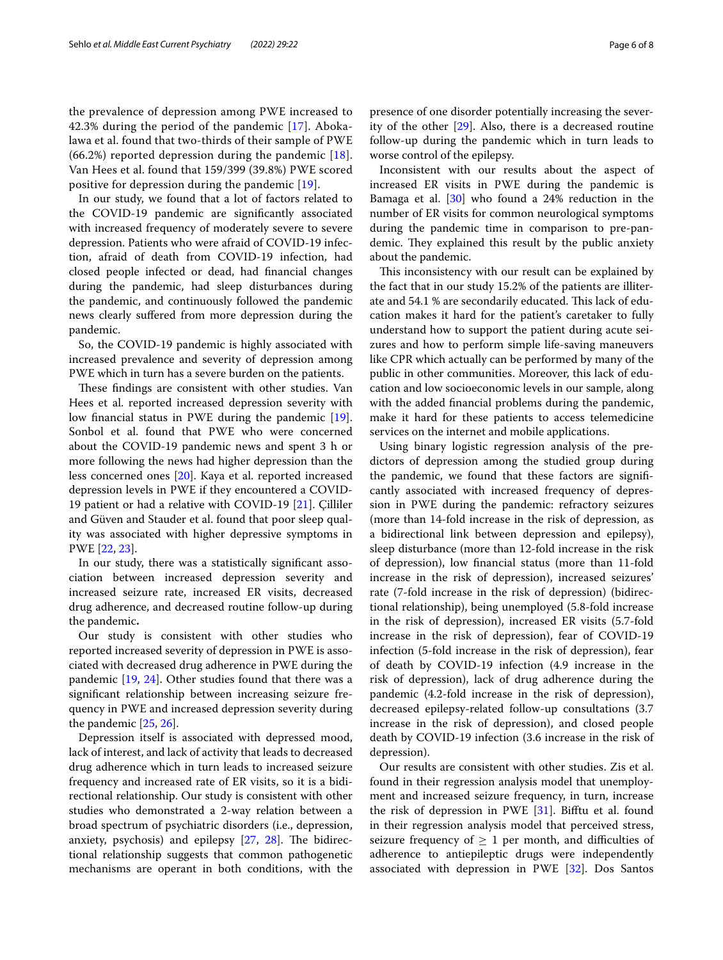the prevalence of depression among PWE increased to 42.3% during the period of the pandemic [\[17](#page-7-12)]. Abokalawa et al. found that two-thirds of their sample of PWE  $(66.2%)$  reported depression during the pandemic [[18\]](#page-7-13). Van Hees et al. found that 159/399 (39.8%) PWE scored positive for depression during the pandemic [\[19](#page-7-14)].

In our study, we found that a lot of factors related to the COVID-19 pandemic are signifcantly associated with increased frequency of moderately severe to severe depression. Patients who were afraid of COVID-19 infection, afraid of death from COVID-19 infection, had closed people infected or dead, had fnancial changes during the pandemic, had sleep disturbances during the pandemic, and continuously followed the pandemic news clearly sufered from more depression during the pandemic.

So, the COVID-19 pandemic is highly associated with increased prevalence and severity of depression among PWE which in turn has a severe burden on the patients.

These findings are consistent with other studies. Van Hees et al. reported increased depression severity with low fnancial status in PWE during the pandemic [\[19](#page-7-14)]. Sonbol et al. found that PWE who were concerned about the COVID-19 pandemic news and spent 3 h or more following the news had higher depression than the less concerned ones [[20](#page-7-15)]. Kaya et al. reported increased depression levels in PWE if they encountered a COVID-19 patient or had a relative with COVID-19 [\[21](#page-7-16)]. Çilliler and Güven and Stauder et al. found that poor sleep quality was associated with higher depressive symptoms in PWE [[22](#page-7-17), [23\]](#page-7-18).

In our study, there was a statistically signifcant association between increased depression severity and increased seizure rate, increased ER visits, decreased drug adherence, and decreased routine follow-up during the pandemic**.**

Our study is consistent with other studies who reported increased severity of depression in PWE is associated with decreased drug adherence in PWE during the pandemic [\[19](#page-7-14), [24](#page-7-19)]. Other studies found that there was a signifcant relationship between increasing seizure frequency in PWE and increased depression severity during the pandemic [[25,](#page-7-20) [26](#page-7-21)].

Depression itself is associated with depressed mood, lack of interest, and lack of activity that leads to decreased drug adherence which in turn leads to increased seizure frequency and increased rate of ER visits, so it is a bidirectional relationship. Our study is consistent with other studies who demonstrated a 2-way relation between a broad spectrum of psychiatric disorders (i.e., depression, anxiety, psychosis) and epilepsy  $[27, 28]$  $[27, 28]$  $[27, 28]$  $[27, 28]$ . The bidirectional relationship suggests that common pathogenetic mechanisms are operant in both conditions, with the presence of one disorder potentially increasing the severity of the other [[29](#page-7-24)]. Also, there is a decreased routine follow-up during the pandemic which in turn leads to worse control of the epilepsy.

Inconsistent with our results about the aspect of increased ER visits in PWE during the pandemic is Bamaga et al. [[30\]](#page-7-25) who found a 24% reduction in the number of ER visits for common neurological symptoms during the pandemic time in comparison to pre-pandemic. They explained this result by the public anxiety about the pandemic.

This inconsistency with our result can be explained by the fact that in our study 15.2% of the patients are illiterate and 54.1 % are secondarily educated. This lack of education makes it hard for the patient's caretaker to fully understand how to support the patient during acute seizures and how to perform simple life-saving maneuvers like CPR which actually can be performed by many of the public in other communities. Moreover, this lack of education and low socioeconomic levels in our sample, along with the added fnancial problems during the pandemic, make it hard for these patients to access telemedicine services on the internet and mobile applications.

Using binary logistic regression analysis of the predictors of depression among the studied group during the pandemic, we found that these factors are signifcantly associated with increased frequency of depression in PWE during the pandemic: refractory seizures (more than 14-fold increase in the risk of depression, as a bidirectional link between depression and epilepsy), sleep disturbance (more than 12-fold increase in the risk of depression), low fnancial status (more than 11-fold increase in the risk of depression), increased seizures' rate (7-fold increase in the risk of depression) (bidirectional relationship), being unemployed (5.8-fold increase in the risk of depression), increased ER visits (5.7-fold increase in the risk of depression), fear of COVID-19 infection (5-fold increase in the risk of depression), fear of death by COVID-19 infection (4.9 increase in the risk of depression), lack of drug adherence during the pandemic (4.2-fold increase in the risk of depression), decreased epilepsy-related follow-up consultations (3.7 increase in the risk of depression), and closed people death by COVID-19 infection (3.6 increase in the risk of depression).

Our results are consistent with other studies. Zis et al. found in their regression analysis model that unemployment and increased seizure frequency, in turn, increase the risk of depression in PWE  $[31]$  $[31]$ . Bifftu et al. found in their regression analysis model that perceived stress, seizure frequency of  $\geq 1$  per month, and difficulties of adherence to antiepileptic drugs were independently associated with depression in PWE [[32\]](#page-7-27). Dos Santos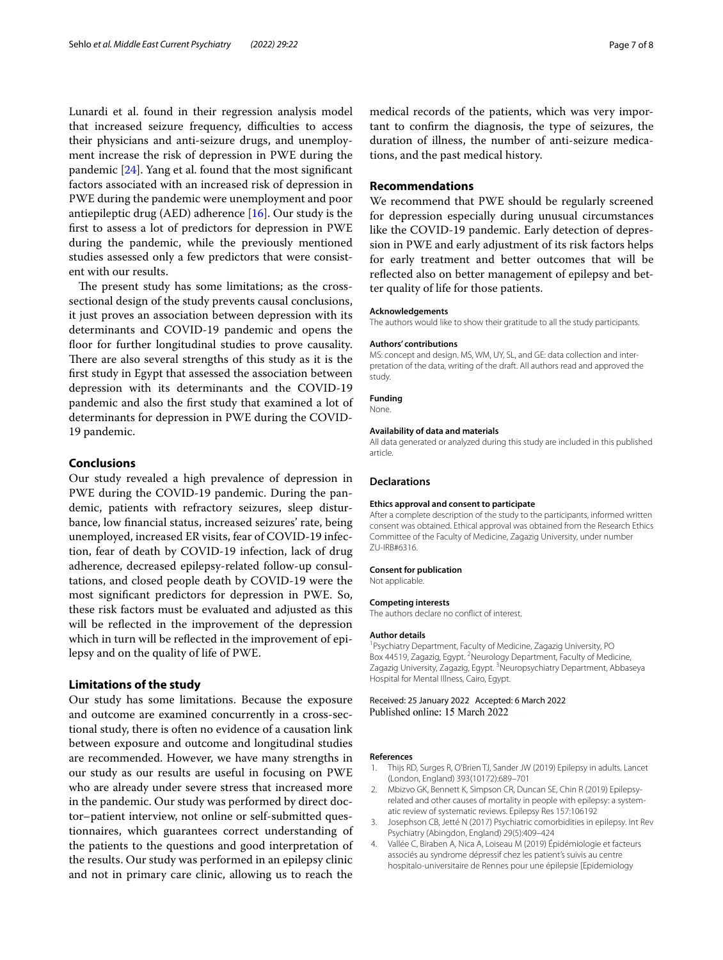Lunardi et al. found in their regression analysis model that increased seizure frequency, difficulties to access their physicians and anti-seizure drugs, and unemployment increase the risk of depression in PWE during the pandemic [[24](#page-7-19)]. Yang et al. found that the most signifcant factors associated with an increased risk of depression in PWE during the pandemic were unemployment and poor antiepileptic drug (AED) adherence  $[16]$  $[16]$ . Our study is the frst to assess a lot of predictors for depression in PWE during the pandemic, while the previously mentioned studies assessed only a few predictors that were consistent with our results.

The present study has some limitations; as the crosssectional design of the study prevents causal conclusions, it just proves an association between depression with its determinants and COVID-19 pandemic and opens the floor for further longitudinal studies to prove causality. There are also several strengths of this study as it is the frst study in Egypt that assessed the association between depression with its determinants and the COVID-19 pandemic and also the frst study that examined a lot of determinants for depression in PWE during the COVID-19 pandemic.

#### **Conclusions**

Our study revealed a high prevalence of depression in PWE during the COVID-19 pandemic. During the pandemic, patients with refractory seizures, sleep disturbance, low fnancial status, increased seizures' rate, being unemployed, increased ER visits, fear of COVID-19 infection, fear of death by COVID-19 infection, lack of drug adherence, decreased epilepsy-related follow-up consultations, and closed people death by COVID-19 were the most signifcant predictors for depression in PWE. So, these risk factors must be evaluated and adjusted as this will be refected in the improvement of the depression which in turn will be reflected in the improvement of epilepsy and on the quality of life of PWE.

## **Limitations of the study**

Our study has some limitations. Because the exposure and outcome are examined concurrently in a cross-sectional study, there is often no evidence of a causation link between exposure and outcome and longitudinal studies are recommended. However, we have many strengths in our study as our results are useful in focusing on PWE who are already under severe stress that increased more in the pandemic. Our study was performed by direct doctor–patient interview, not online or self-submitted questionnaires, which guarantees correct understanding of the patients to the questions and good interpretation of the results. Our study was performed in an epilepsy clinic and not in primary care clinic, allowing us to reach the medical records of the patients, which was very important to confrm the diagnosis, the type of seizures, the duration of illness, the number of anti-seizure medications, and the past medical history.

## **Recommendations**

We recommend that PWE should be regularly screened for depression especially during unusual circumstances like the COVID-19 pandemic. Early detection of depression in PWE and early adjustment of its risk factors helps for early treatment and better outcomes that will be refected also on better management of epilepsy and better quality of life for those patients.

#### **Acknowledgements**

The authors would like to show their gratitude to all the study participants.

#### **Authors' contributions**

MS: concept and design. MS, WM, UY, SL, and GE: data collection and interpretation of the data, writing of the draft. All authors read and approved the study.

#### **Funding**

None.

#### **Availability of data and materials**

All data generated or analyzed during this study are included in this published article.

#### **Declarations**

#### **Ethics approval and consent to participate**

After a complete description of the study to the participants, informed written consent was obtained. Ethical approval was obtained from the Research Ethics Committee of the Faculty of Medicine, Zagazig University, under number ZU-IRB#6316.

#### **Consent for publication**

Not applicable.

#### **Competing interests**

The authors declare no confict of interest.

#### **Author details**

<sup>1</sup> Psychiatry Department, Faculty of Medicine, Zagazig University, PO Box 44519, Zagazig, Egypt. <sup>2</sup> Neurology Department, Faculty of Medicine, Zagazig University, Zagazig, Egypt. <sup>3</sup>Neuropsychiatry Department, Abbaseya Hospital for Mental Illness, Cairo, Egypt.

#### Received: 25 January 2022 Accepted: 6 March 2022 Published online: 15 March 2022

#### **References**

- <span id="page-6-0"></span>1. Thijs RD, Surges R, O'Brien TJ, Sander JW (2019) Epilepsy in adults. Lancet (London, England) 393(10172):689–701
- <span id="page-6-1"></span>2. Mbizvo GK, Bennett K, Simpson CR, Duncan SE, Chin R (2019) Epilepsyrelated and other causes of mortality in people with epilepsy: a systematic review of systematic reviews. Epilepsy Res 157:106192
- <span id="page-6-2"></span>3. Josephson CB, Jetté N (2017) Psychiatric comorbidities in epilepsy. Int Rev Psychiatry (Abingdon, England) 29(5):409–424
- <span id="page-6-3"></span>4. Vallée C, Biraben A, Nica A, Loiseau M (2019) Épidémiologie et facteurs associés au syndrome dépressif chez les patient's suivis au centre hospitalo-universitaire de Rennes pour une épilepsie [Epidemiology